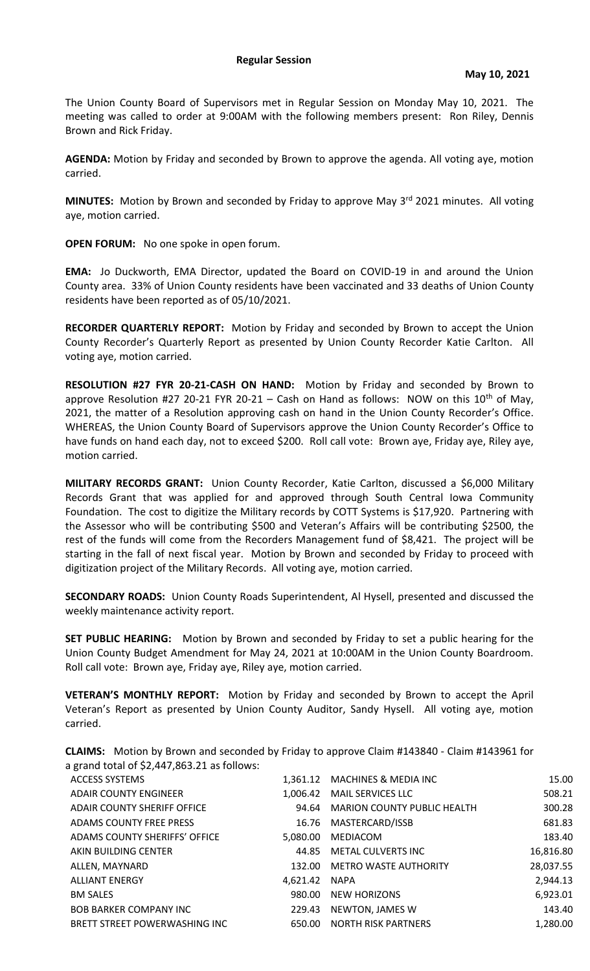The Union County Board of Supervisors met in Regular Session on Monday May 10, 2021. The meeting was called to order at 9:00AM with the following members present: Ron Riley, Dennis Brown and Rick Friday.

**AGENDA:** Motion by Friday and seconded by Brown to approve the agenda. All voting aye, motion carried.

**MINUTES:** Motion by Brown and seconded by Friday to approve May 3<sup>rd</sup> 2021 minutes. All voting aye, motion carried.

**OPEN FORUM:** No one spoke in open forum.

**EMA:** Jo Duckworth, EMA Director, updated the Board on COVID-19 in and around the Union County area. 33% of Union County residents have been vaccinated and 33 deaths of Union County residents have been reported as of 05/10/2021.

**RECORDER QUARTERLY REPORT:** Motion by Friday and seconded by Brown to accept the Union County Recorder's Quarterly Report as presented by Union County Recorder Katie Carlton. All voting aye, motion carried.

**RESOLUTION #27 FYR 20-21-CASH ON HAND:** Motion by Friday and seconded by Brown to approve Resolution #27 20-21 FYR 20-21 – Cash on Hand as follows: NOW on this  $10^{th}$  of May, 2021, the matter of a Resolution approving cash on hand in the Union County Recorder's Office. WHEREAS, the Union County Board of Supervisors approve the Union County Recorder's Office to have funds on hand each day, not to exceed \$200. Roll call vote: Brown aye, Friday aye, Riley aye, motion carried.

**MILITARY RECORDS GRANT:** Union County Recorder, Katie Carlton, discussed a \$6,000 Military Records Grant that was applied for and approved through South Central Iowa Community Foundation. The cost to digitize the Military records by COTT Systems is \$17,920. Partnering with the Assessor who will be contributing \$500 and Veteran's Affairs will be contributing \$2500, the rest of the funds will come from the Recorders Management fund of \$8,421. The project will be starting in the fall of next fiscal year. Motion by Brown and seconded by Friday to proceed with digitization project of the Military Records. All voting aye, motion carried.

**SECONDARY ROADS:** Union County Roads Superintendent, Al Hysell, presented and discussed the weekly maintenance activity report.

**SET PUBLIC HEARING:** Motion by Brown and seconded by Friday to set a public hearing for the Union County Budget Amendment for May 24, 2021 at 10:00AM in the Union County Boardroom. Roll call vote: Brown aye, Friday aye, Riley aye, motion carried.

**VETERAN'S MONTHLY REPORT:** Motion by Friday and seconded by Brown to accept the April Veteran's Report as presented by Union County Auditor, Sandy Hysell. All voting aye, motion carried.

**CLAIMS:** Motion by Brown and seconded by Friday to approve Claim #143840 - Claim #143961 for a grand total of \$2,447,863.21 as follows:

| <b>ACCESS SYSTEMS</b>         |               | 1,361.12 MACHINES & MEDIA INC     | 15.00     |
|-------------------------------|---------------|-----------------------------------|-----------|
| <b>ADAIR COUNTY ENGINEER</b>  |               | 1,006.42 MAIL SERVICES LLC        | 508.21    |
| ADAIR COUNTY SHERIFF OFFICE   |               | 94.64 MARION COUNTY PUBLIC HEALTH | 300.28    |
| ADAMS COUNTY FREE PRESS       |               | 16.76 MASTERCARD/ISSB             | 681.83    |
| ADAMS COUNTY SHERIFFS' OFFICE |               | 5,080.00 MEDIACOM                 | 183.40    |
| AKIN BUILDING CENTER          |               | 44.85 METAL CULVERTS INC          | 16,816.80 |
| ALLEN, MAYNARD                |               | 132.00 METRO WASTE AUTHORITY      | 28,037.55 |
| <b>ALLIANT ENERGY</b>         | 4,621.42 NAPA |                                   | 2,944.13  |
| <b>BM SALES</b>               |               | 980.00 NEW HORIZONS               | 6,923.01  |
| <b>BOB BARKER COMPANY INC</b> |               | 229.43 NEWTON, JAMES W            | 143.40    |
| BRETT STREET POWERWASHING INC |               | 650.00 NORTH RISK PARTNERS        | 1,280.00  |